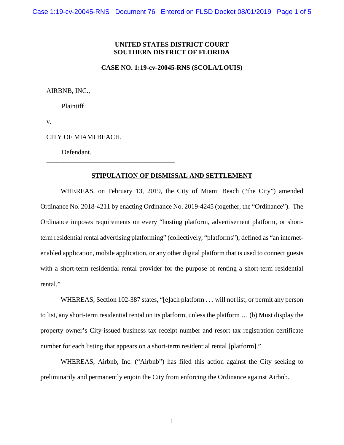## **UNITED STATES DISTRICT COURT SOUTHERN DISTRICT OF FLORIDA**

## **CASE NO. 1:19-cv-20045-RNS (SCOLA/LOUIS)**

AIRBNB, INC.,

Plaintiff

v.

CITY OF MIAMI BEACH,

\_\_\_\_\_\_\_\_\_\_\_\_\_\_\_\_\_\_\_\_\_\_\_\_\_\_\_\_\_\_\_\_\_\_\_\_\_\_

Defendant.

## **STIPULATION OF DISMISSAL AND SETTLEMENT**

WHEREAS, on February 13, 2019, the City of Miami Beach ("the City") amended Ordinance No. 2018-4211 by enacting Ordinance No. 2019-4245 (together, the "Ordinance"). The Ordinance imposes requirements on every "hosting platform, advertisement platform, or shortterm residential rental advertising platforming" (collectively, "platforms"), defined as "an internetenabled application, mobile application, or any other digital platform that is used to connect guests with a short-term residential rental provider for the purpose of renting a short-term residential rental."

WHEREAS, Section 102-387 states, "[e]ach platform . . . will not list, or permit any person to list, any short-term residential rental on its platform, unless the platform … (b) Must display the property owner's City-issued business tax receipt number and resort tax registration certificate number for each listing that appears on a short-term residential rental [platform]."

WHEREAS, Airbnb, Inc. ("Airbnb") has filed this action against the City seeking to preliminarily and permanently enjoin the City from enforcing the Ordinance against Airbnb.

1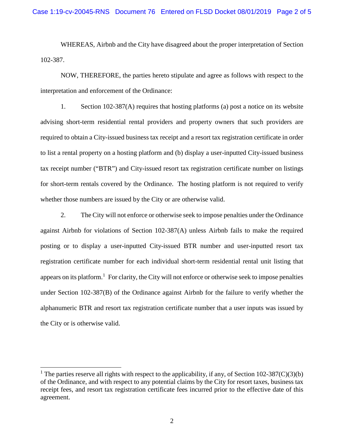WHEREAS, Airbnb and the City have disagreed about the proper interpretation of Section 102-387.

NOW, THEREFORE, the parties hereto stipulate and agree as follows with respect to the interpretation and enforcement of the Ordinance:

1. Section 102-387(A) requires that hosting platforms (a) post a notice on its website advising short-term residential rental providers and property owners that such providers are required to obtain a City-issued business tax receipt and a resort tax registration certificate in order to list a rental property on a hosting platform and (b) display a user-inputted City-issued business tax receipt number ("BTR") and City-issued resort tax registration certificate number on listings for short-term rentals covered by the Ordinance. The hosting platform is not required to verify whether those numbers are issued by the City or are otherwise valid.

2. The City will not enforce or otherwise seek to impose penalties under the Ordinance against Airbnb for violations of Section 102-387(A) unless Airbnb fails to make the required posting or to display a user-inputted City-issued BTR number and user-inputted resort tax registration certificate number for each individual short-term residential rental unit listing that appears on its platform.<sup>[1](#page-1-0)</sup> For clarity, the City will not enforce or otherwise seek to impose penalties under Section 102-387(B) of the Ordinance against Airbnb for the failure to verify whether the alphanumeric BTR and resort tax registration certificate number that a user inputs was issued by the City or is otherwise valid.

<span id="page-1-0"></span><sup>&</sup>lt;sup>1</sup> The parties reserve all rights with respect to the applicability, if any, of Section 102-387(C)(3)(b) of the Ordinance, and with respect to any potential claims by the City for resort taxes, business tax receipt fees, and resort tax registration certificate fees incurred prior to the effective date of this agreement.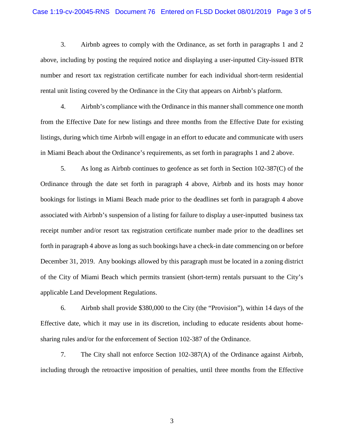3. Airbnb agrees to comply with the Ordinance, as set forth in paragraphs 1 and 2 above, including by posting the required notice and displaying a user-inputted City-issued BTR number and resort tax registration certificate number for each individual short-term residential rental unit listing covered by the Ordinance in the City that appears on Airbnb's platform.

4. Airbnb's compliance with the Ordinance in this manner shall commence one month from the Effective Date for new listings and three months from the Effective Date for existing listings, during which time Airbnb will engage in an effort to educate and communicate with users in Miami Beach about the Ordinance's requirements, as set forth in paragraphs 1 and 2 above.

5. As long as Airbnb continues to geofence as set forth in Section 102-387(C) of the Ordinance through the date set forth in paragraph 4 above, Airbnb and its hosts may honor bookings for listings in Miami Beach made prior to the deadlines set forth in paragraph 4 above associated with Airbnb's suspension of a listing for failure to display a user-inputted business tax receipt number and/or resort tax registration certificate number made prior to the deadlines set forth in paragraph 4 above as long as such bookings have a check-in date commencing on or before December 31, 2019. Any bookings allowed by this paragraph must be located in a zoning district of the City of Miami Beach which permits transient (short-term) rentals pursuant to the City's applicable Land Development Regulations.

6. Airbnb shall provide \$380,000 to the City (the "Provision"), within 14 days of the Effective date, which it may use in its discretion, including to educate residents about homesharing rules and/or for the enforcement of Section 102-387 of the Ordinance.

7. The City shall not enforce Section 102-387(A) of the Ordinance against Airbnb, including through the retroactive imposition of penalties, until three months from the Effective

3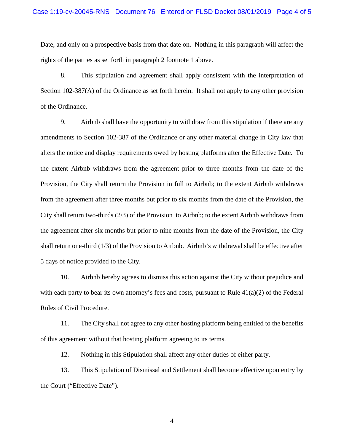Date, and only on a prospective basis from that date on. Nothing in this paragraph will affect the rights of the parties as set forth in paragraph 2 footnote 1 above.

8. This stipulation and agreement shall apply consistent with the interpretation of Section 102-387(A) of the Ordinance as set forth herein. It shall not apply to any other provision of the Ordinance.

9. Airbnb shall have the opportunity to withdraw from this stipulation if there are any amendments to Section 102-387 of the Ordinance or any other material change in City law that alters the notice and display requirements owed by hosting platforms after the Effective Date. To the extent Airbnb withdraws from the agreement prior to three months from the date of the Provision, the City shall return the Provision in full to Airbnb; to the extent Airbnb withdraws from the agreement after three months but prior to six months from the date of the Provision, the City shall return two-thirds (2/3) of the Provision to Airbnb; to the extent Airbnb withdraws from the agreement after six months but prior to nine months from the date of the Provision, the City shall return one-third (1/3) of the Provision to Airbnb. Airbnb's withdrawal shall be effective after 5 days of notice provided to the City.

10. Airbnb hereby agrees to dismiss this action against the City without prejudice and with each party to bear its own attorney's fees and costs, pursuant to Rule  $41(a)(2)$  of the Federal Rules of Civil Procedure.

11. The City shall not agree to any other hosting platform being entitled to the benefits of this agreement without that hosting platform agreeing to its terms.

12. Nothing in this Stipulation shall affect any other duties of either party.

13. This Stipulation of Dismissal and Settlement shall become effective upon entry by the Court ("Effective Date").

4